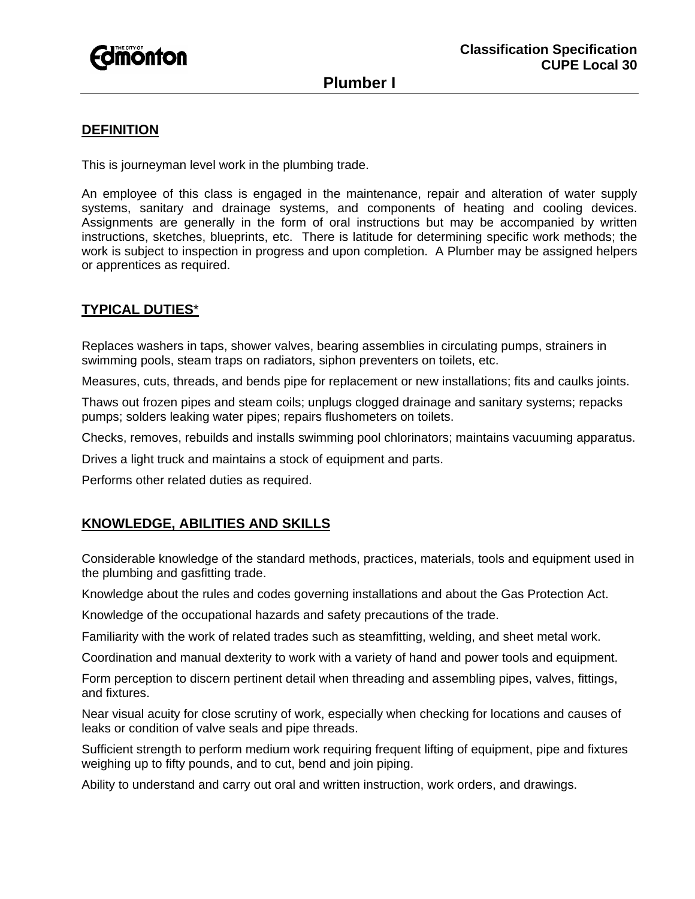

# **Plumber I**

## **DEFINITION**

This is journeyman level work in the plumbing trade.

An employee of this class is engaged in the maintenance, repair and alteration of water supply systems, sanitary and drainage systems, and components of heating and cooling devices. Assignments are generally in the form of oral instructions but may be accompanied by written instructions, sketches, blueprints, etc. There is latitude for determining specific work methods; the work is subject to inspection in progress and upon completion. A Plumber may be assigned helpers or apprentices as required.

### **TYPICAL DUTIES**\*

Replaces washers in taps, shower valves, bearing assemblies in circulating pumps, strainers in swimming pools, steam traps on radiators, siphon preventers on toilets, etc.

Measures, cuts, threads, and bends pipe for replacement or new installations; fits and caulks joints.

Thaws out frozen pipes and steam coils; unplugs clogged drainage and sanitary systems; repacks pumps; solders leaking water pipes; repairs flushometers on toilets.

Checks, removes, rebuilds and installs swimming pool chlorinators; maintains vacuuming apparatus.

Drives a light truck and maintains a stock of equipment and parts.

Performs other related duties as required.

#### **KNOWLEDGE, ABILITIES AND SKILLS**

Considerable knowledge of the standard methods, practices, materials, tools and equipment used in the plumbing and gasfitting trade.

Knowledge about the rules and codes governing installations and about the Gas Protection Act.

Knowledge of the occupational hazards and safety precautions of the trade.

Familiarity with the work of related trades such as steamfitting, welding, and sheet metal work.

Coordination and manual dexterity to work with a variety of hand and power tools and equipment.

Form perception to discern pertinent detail when threading and assembling pipes, valves, fittings, and fixtures.

Near visual acuity for close scrutiny of work, especially when checking for locations and causes of leaks or condition of valve seals and pipe threads.

Sufficient strength to perform medium work requiring frequent lifting of equipment, pipe and fixtures weighing up to fifty pounds, and to cut, bend and join piping.

Ability to understand and carry out oral and written instruction, work orders, and drawings.